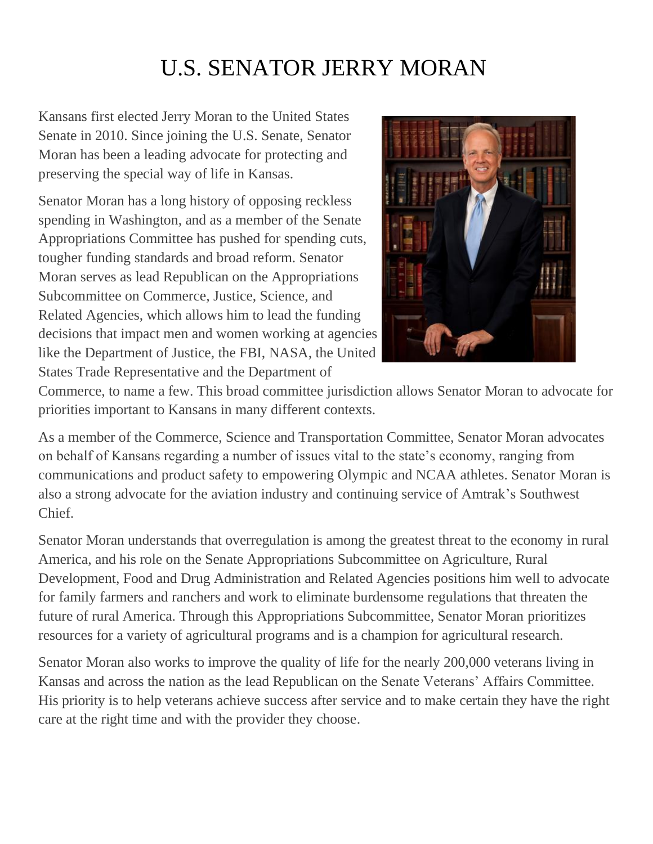# U.S. SENATOR JERRY MORAN

Kansans first elected Jerry Moran to the United States Senate in 2010. Since joining the U.S. Senate, Senator Moran has been a leading advocate for protecting and preserving the special way of life in Kansas.

Senator Moran has a long history of opposing reckless spending in Washington, and as a member of the Senate Appropriations Committee has pushed for spending cuts, tougher funding standards and broad reform. Senator Moran serves as lead Republican on the Appropriations Subcommittee on Commerce, Justice, Science, and Related Agencies, which allows him to lead the funding decisions that impact men and women working at agencies like the Department of Justice, the FBI, NASA, the United States Trade Representative and the Department of



Commerce, to name a few. This broad committee jurisdiction allows Senator Moran to advocate for priorities important to Kansans in many different contexts.

As a member of the Commerce, Science and Transportation Committee, Senator Moran advocates on behalf of Kansans regarding a number of issues vital to the state's economy, ranging from communications and product safety to empowering Olympic and NCAA athletes. Senator Moran is also a strong advocate for the aviation industry and continuing service of Amtrak's Southwest Chief.

Senator Moran understands that overregulation is among the greatest threat to the economy in rural America, and his role on the Senate Appropriations Subcommittee on Agriculture, Rural Development, Food and Drug Administration and Related Agencies positions him well to advocate for family farmers and ranchers and work to eliminate burdensome regulations that threaten the future of rural America. Through this Appropriations Subcommittee, Senator Moran prioritizes resources for a variety of agricultural programs and is a champion for agricultural research.

Senator Moran also works to improve the quality of life for the nearly 200,000 veterans living in Kansas and across the nation as the lead Republican on the Senate Veterans' Affairs Committee. His priority is to help veterans achieve success after service and to make certain they have the right care at the right time and with the provider they choose.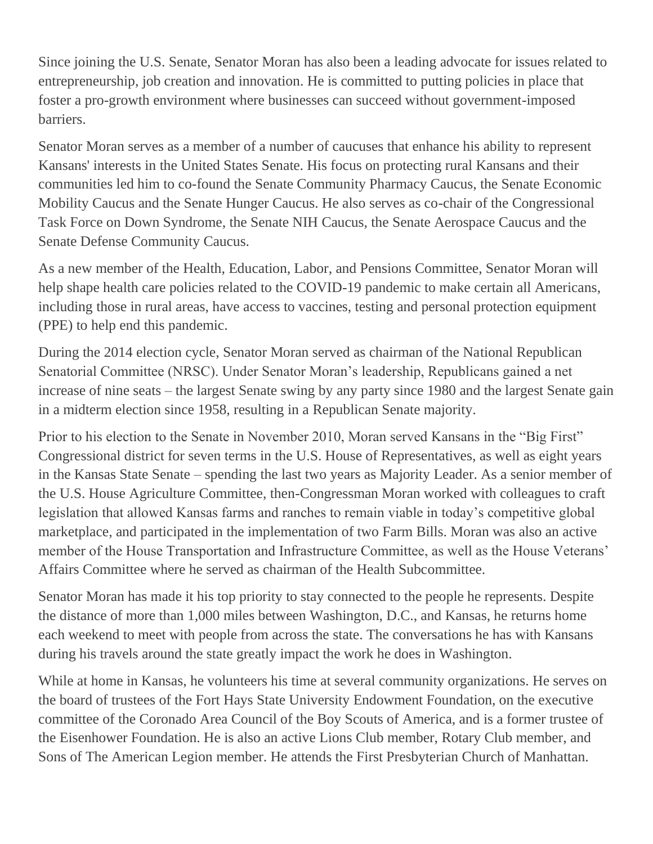Since joining the U.S. Senate, Senator Moran has also been a leading advocate for issues related to entrepreneurship, job creation and innovation. He is committed to putting policies in place that foster a pro-growth environment where businesses can succeed without government-imposed barriers.

Senator Moran serves as a member of a number of caucuses that enhance his ability to represent Kansans' interests in the United States Senate. His focus on protecting rural Kansans and their communities led him to co-found the Senate Community Pharmacy Caucus, the Senate Economic Mobility Caucus and the Senate Hunger Caucus. He also serves as co-chair of the Congressional Task Force on Down Syndrome, the Senate NIH Caucus, the Senate Aerospace Caucus and the Senate Defense Community Caucus.

As a new member of the Health, Education, Labor, and Pensions Committee, Senator Moran will help shape health care policies related to the COVID-19 pandemic to make certain all Americans, including those in rural areas, have access to vaccines, testing and personal protection equipment (PPE) to help end this pandemic.

During the 2014 election cycle, Senator Moran served as chairman of the National Republican Senatorial Committee (NRSC). Under Senator Moran's leadership, Republicans gained a net increase of nine seats – the largest Senate swing by any party since 1980 and the largest Senate gain in a midterm election since 1958, resulting in a Republican Senate majority.

Prior to his election to the Senate in November 2010, Moran served Kansans in the "Big First" Congressional district for seven terms in the U.S. House of Representatives, as well as eight years in the Kansas State Senate – spending the last two years as Majority Leader. As a senior member of the U.S. House Agriculture Committee, then-Congressman Moran worked with colleagues to craft legislation that allowed Kansas farms and ranches to remain viable in today's competitive global marketplace, and participated in the implementation of two Farm Bills. Moran was also an active member of the House Transportation and Infrastructure Committee, as well as the House Veterans' Affairs Committee where he served as chairman of the Health Subcommittee.

Senator Moran has made it his top priority to stay connected to the people he represents. Despite the distance of more than 1,000 miles between Washington, D.C., and Kansas, he returns home each weekend to meet with people from across the state. The conversations he has with Kansans during his travels around the state greatly impact the work he does in Washington.

While at home in Kansas, he volunteers his time at several community organizations. He serves on the board of trustees of the Fort Hays State University Endowment Foundation, on the executive committee of the Coronado Area Council of the Boy Scouts of America, and is a former trustee of the Eisenhower Foundation. He is also an active Lions Club member, Rotary Club member, and Sons of The American Legion member. He attends the First Presbyterian Church of Manhattan.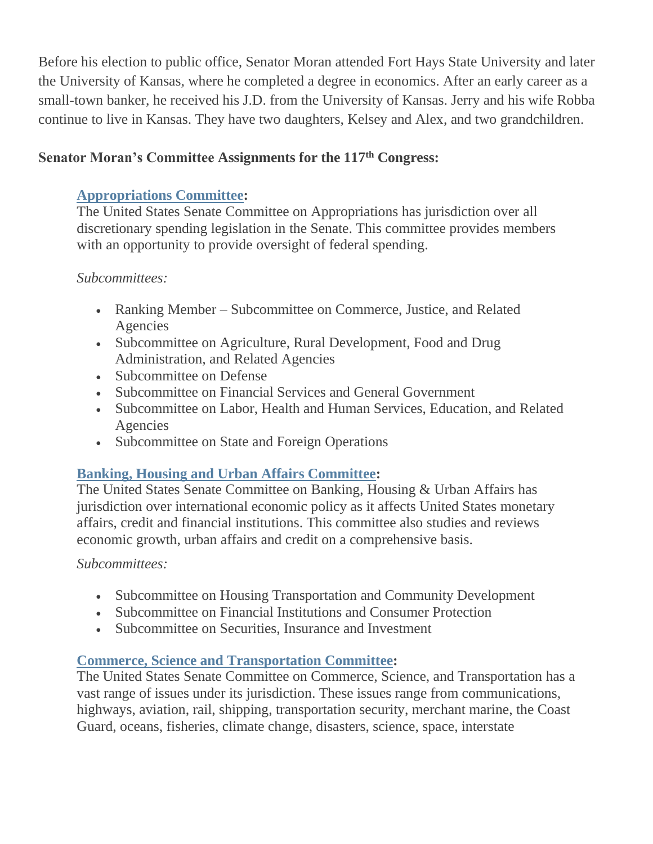Before his election to public office, Senator Moran attended Fort Hays State University and later the University of Kansas, where he completed a degree in economics. After an early career as a small-town banker, he received his J.D. from the University of Kansas. Jerry and his wife Robba continue to live in Kansas. They have two daughters, Kelsey and Alex, and two grandchildren.

## **Senator Moran's Committee Assignments for the 117th Congress:**

## **Appropriations Committee:**

The United States Senate Committee on Appropriations has jurisdiction over all discretionary spending legislation in the Senate. This committee provides members with an opportunity to provide oversight of federal spending.

#### *Subcommittees:*

- Ranking Member Subcommittee on Commerce, Justice, and Related Agencies
- Subcommittee on Agriculture, Rural Development, Food and Drug Administration, and Related Agencies
- Subcommittee on Defense
- Subcommittee on Financial Services and General Government
- Subcommittee on Labor, Health and Human Services, Education, and Related Agencies
- Subcommittee on State and Foreign Operations

# **Banking, Housing and Urban Affairs Committee:**

The United States Senate Committee on Banking, Housing & Urban Affairs has jurisdiction over international economic policy as it affects United States monetary affairs, credit and financial institutions. This committee also studies and reviews economic growth, urban affairs and credit on a comprehensive basis.

#### *Subcommittees:*

- Subcommittee on Housing Transportation and Community Development
- Subcommittee on Financial Institutions and Consumer Protection
- Subcommittee on Securities, Insurance and Investment

#### **Commerce, Science and Transportation Committee[:](http://www.commerce.senate.gov/public/)**

The United States Senate Committee on Commerce, Science, and Transportation has a vast range of issues under its jurisdiction. These issues range from communications, highways, aviation, rail, shipping, transportation security, merchant marine, the Coast Guard, oceans, fisheries, climate change, disasters, science, space, interstate